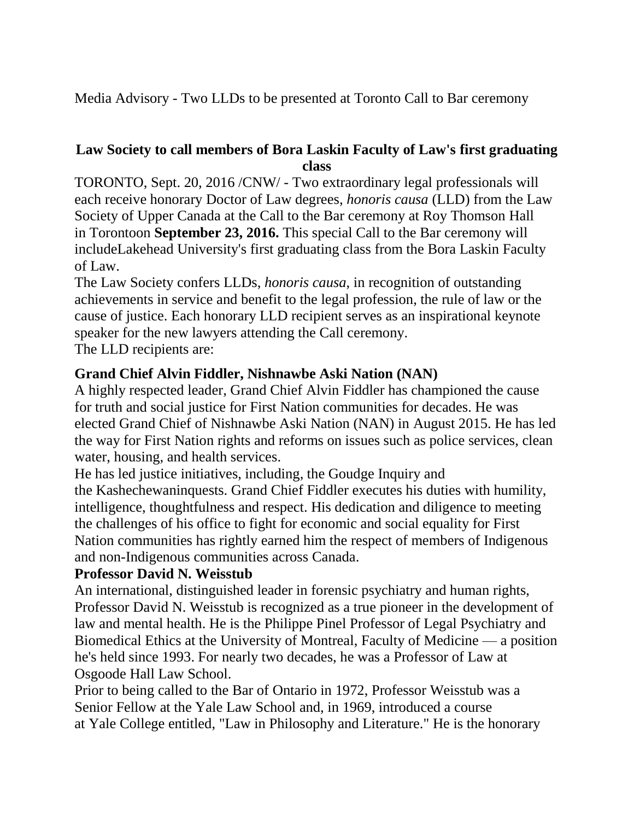Media Advisory - Two LLDs to be presented at Toronto Call to Bar ceremony

## **Law Society to call members of Bora Laskin Faculty of Law's first graduating class**

TORONTO, Sept. 20, 2016 /CNW/ - Two extraordinary legal professionals will each receive honorary Doctor of Law degrees, *honoris causa* (LLD) from the Law Society of Upper Canada at the Call to the Bar ceremony at Roy Thomson Hall in Torontoon **September 23, 2016.** This special Call to the Bar ceremony will includeLakehead University's first graduating class from the Bora Laskin Faculty of Law.

The Law Society confers LLDs, *honoris causa*, in recognition of outstanding achievements in service and benefit to the legal profession, the rule of law or the cause of justice. Each honorary LLD recipient serves as an inspirational keynote speaker for the new lawyers attending the Call ceremony.

The LLD recipients are:

## **Grand Chief Alvin Fiddler, Nishnawbe Aski Nation (NAN)**

A highly respected leader, Grand Chief Alvin Fiddler has championed the cause for truth and social justice for First Nation communities for decades. He was elected Grand Chief of Nishnawbe Aski Nation (NAN) in August 2015. He has led the way for First Nation rights and reforms on issues such as police services, clean water, housing, and health services.

He has led justice initiatives, including, the Goudge Inquiry and the Kashechewaninquests. Grand Chief Fiddler executes his duties with humility, intelligence, thoughtfulness and respect. His dedication and diligence to meeting the challenges of his office to fight for economic and social equality for First Nation communities has rightly earned him the respect of members of Indigenous and non-Indigenous communities across Canada.

## **Professor David N. Weisstub**

An international, distinguished leader in forensic psychiatry and human rights, Professor David N. Weisstub is recognized as a true pioneer in the development of law and mental health. He is the Philippe Pinel Professor of Legal Psychiatry and Biomedical Ethics at the University of Montreal, Faculty of Medicine — a position he's held since 1993. For nearly two decades, he was a Professor of Law at Osgoode Hall Law School.

Prior to being called to the Bar of Ontario in 1972, Professor Weisstub was a Senior Fellow at the Yale Law School and, in 1969, introduced a course at Yale College entitled, "Law in Philosophy and Literature." He is the honorary